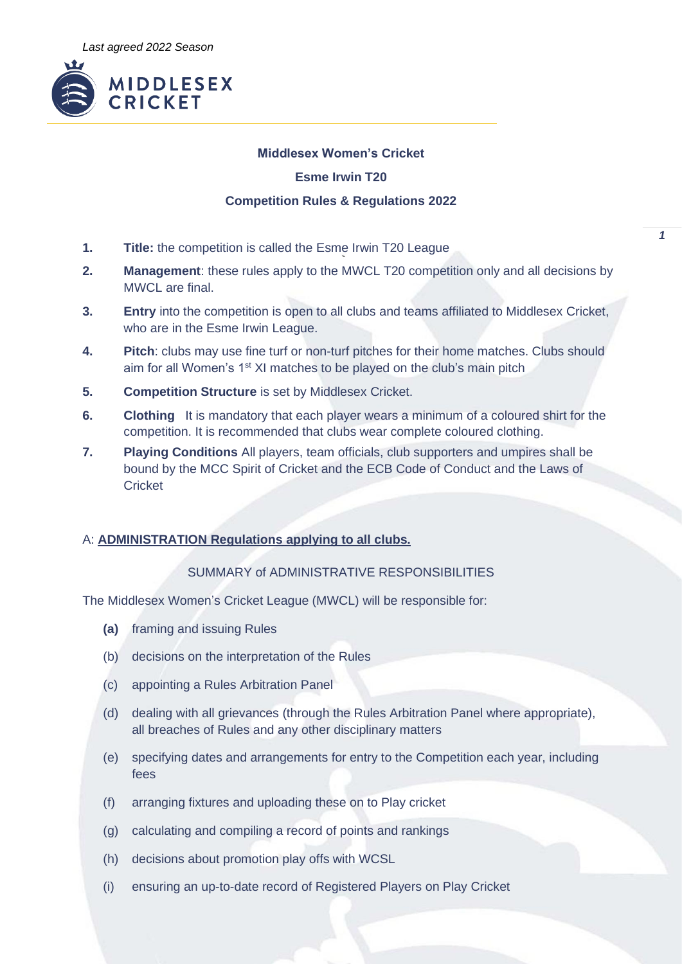

## **Middlesex Women's Cricket**

## **Esme Irwin T20**

## **Competition Rules & Regulations 2022**

- **1. Title:** the competition is called the Esme Irwin T20 League
- **2. Management**: these rules apply to the MWCL T20 competition only and all decisions by MWCL are final.
- **3. Entry** into the competition is open to all clubs and teams affiliated to Middlesex Cricket, who are in the Esme Irwin League.
- **4. Pitch**: clubs may use fine turf or non-turf pitches for their home matches. Clubs should aim for all Women's 1<sup>st</sup> XI matches to be played on the club's main pitch
- **5. Competition Structure** is set by Middlesex Cricket.
- **6. Clothing** It is mandatory that each player wears a minimum of a coloured shirt for the competition. It is recommended that clubs wear complete coloured clothing.
- **7. Playing Conditions** All players, team officials, club supporters and umpires shall be bound by the MCC Spirit of Cricket and the ECB Code of Conduct and the Laws of **Cricket**

# A: **ADMINISTRATION Regulations applying to all clubs.**

# SUMMARY of ADMINISTRATIVE RESPONSIBILITIES

The Middlesex Women's Cricket League (MWCL) will be responsible for:

- **(a)** framing and issuing Rules
- (b) decisions on the interpretation of the Rules
- (c) appointing a Rules Arbitration Panel
- (d) dealing with all grievances (through the Rules Arbitration Panel where appropriate), all breaches of Rules and any other disciplinary matters
- (e) specifying dates and arrangements for entry to the Competition each year, including fees
- (f) arranging fixtures and uploading these on to Play cricket
- (g) calculating and compiling a record of points and rankings
- (h) decisions about promotion play offs with WCSL
- (i) ensuring an up-to-date record of Registered Players on Play Cricket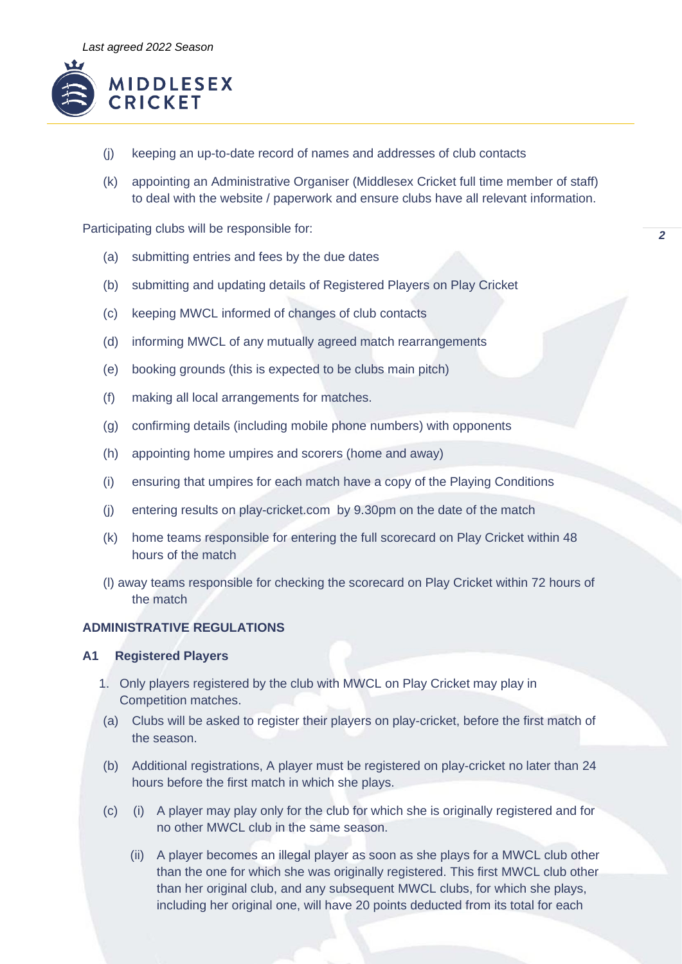

- (j) keeping an up-to-date record of names and addresses of club contacts
- (k) appointing an Administrative Organiser (Middlesex Cricket full time member of staff) to deal with the website / paperwork and ensure clubs have all relevant information.

Participating clubs will be responsible for:

- (a) submitting entries and fees by the due dates
- (b) submitting and updating details of Registered Players on Play Cricket
- (c) keeping MWCL informed of changes of club contacts
- (d) informing MWCL of any mutually agreed match rearrangements
- (e) booking grounds (this is expected to be clubs main pitch)
- (f) making all local arrangements for matches.
- (g) confirming details (including mobile phone numbers) with opponents
- (h) appointing home umpires and scorers (home and away)
- (i) ensuring that umpires for each match have a copy of the Playing Conditions
- (j) entering results on play-cricket.com by 9.30pm on the date of the match
- (k) home teams responsible for entering the full scorecard on Play Cricket within 48 hours of the match
- (l) away teams responsible for checking the scorecard on Play Cricket within 72 hours of the match

#### **ADMINISTRATIVE REGULATIONS**

#### **A1 Registered Players**

- 1. Only players registered by the club with MWCL on Play Cricket may play in Competition matches.
- (a) Clubs will be asked to register their players on play-cricket, before the first match of the season.
- (b) Additional registrations, A player must be registered on play-cricket no later than 24 hours before the first match in which she plays.
- (c) (i) A player may play only for the club for which she is originally registered and for no other MWCL club in the same season.
	- (ii) A player becomes an illegal player as soon as she plays for a MWCL club other than the one for which she was originally registered. This first MWCL club other than her original club, and any subsequent MWCL clubs, for which she plays, including her original one, will have 20 points deducted from its total for each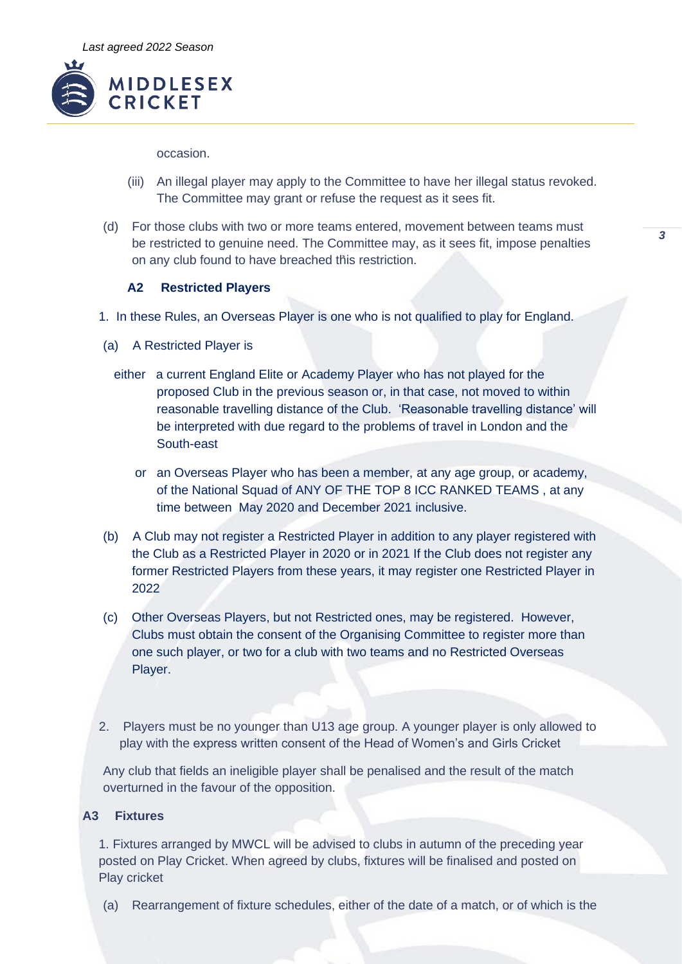

occasion.

- (iii) An illegal player may apply to the Committee to have her illegal status revoked. The Committee may grant or refuse the request as it sees fit.
- (d) For those clubs with two or more teams entered, movement between teams must be restricted to genuine need. The Committee may, as it sees fit, impose penalties on any club found to have breached this restriction.

### **A2 Restricted Players**

- 1. In these Rules, an Overseas Player is one who is not qualified to play for England.
- (a) A Restricted Player is
	- either a current England Elite or Academy Player who has not played for the proposed Club in the previous season or, in that case, not moved to within reasonable travelling distance of the Club. 'Reasonable travelling distance' will be interpreted with due regard to the problems of travel in London and the South-east
		- or an Overseas Player who has been a member, at any age group, or academy, of the National Squad of ANY OF THE TOP 8 ICC RANKED TEAMS , at any time between May 2020 and December 2021 inclusive.
- (b) A Club may not register a Restricted Player in addition to any player registered with the Club as a Restricted Player in 2020 or in 2021 If the Club does not register any former Restricted Players from these years, it may register one Restricted Player in 2022
- (c) Other Overseas Players, but not Restricted ones, may be registered. However, Clubs must obtain the consent of the Organising Committee to register more than one such player, or two for a club with two teams and no Restricted Overseas Player.
- 2. Players must be no younger than U13 age group. A younger player is only allowed to play with the express written consent of the Head of Women's and Girls Cricket

Any club that fields an ineligible player shall be penalised and the result of the match overturned in the favour of the opposition.

# **A3 Fixtures**

1. Fixtures arranged by MWCL will be advised to clubs in autumn of the preceding year posted on Play Cricket. When agreed by clubs, fixtures will be finalised and posted on Play cricket

(a) Rearrangement of fixture schedules, either of the date of a match, or of which is the

*3*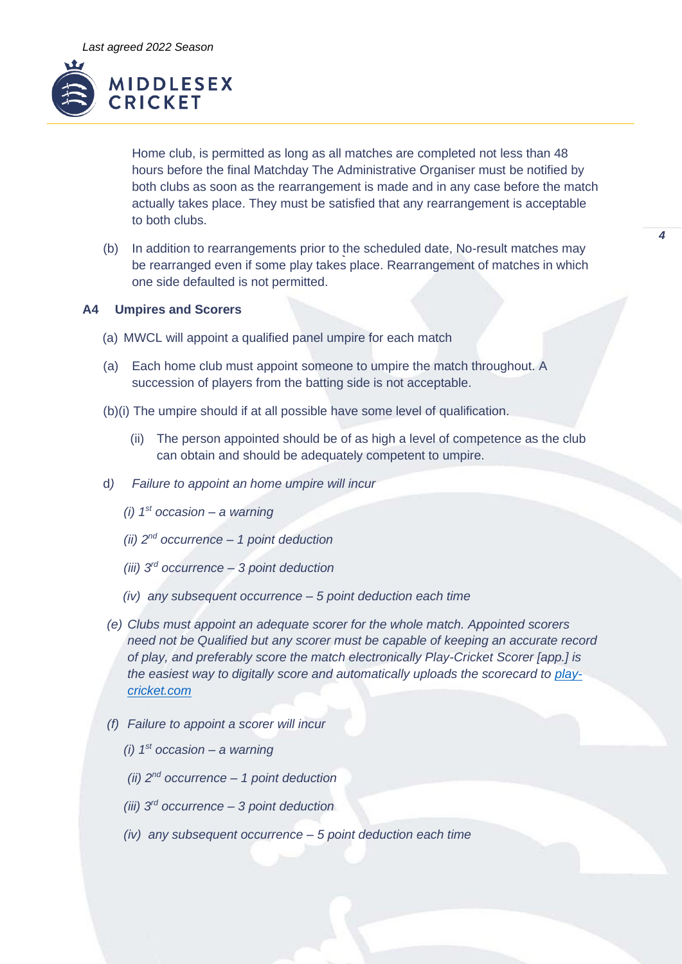

Home club, is permitted as long as all matches are completed not less than 48 hours before the final Matchday The Administrative Organiser must be notified by both clubs as soon as the rearrangement is made and in any case before the match actually takes place. They must be satisfied that any rearrangement is acceptable to both clubs.

*4*

(b) In addition to rearrangements prior to the scheduled date, No-result matches may be rearranged even if some play takes place. Rearrangement of matches in which one side defaulted is not permitted.

## **A4 Umpires and Scorers**

- (a) MWCL will appoint a qualified panel umpire for each match
- (a) Each home club must appoint someone to umpire the match throughout. A succession of players from the batting side is not acceptable.
- (b)(i) The umpire should if at all possible have some level of qualification.
	- (ii) The person appointed should be of as high a level of competence as the club can obtain and should be adequately competent to umpire.
- d*) Failure to appoint an home umpire will incur* 
	- *(i) 1st occasion – a warning*
	- *(ii) 2nd occurrence – 1 point deduction*
	- *(iii) 3rd occurrence – 3 point deduction*
	- *(iv) any subsequent occurrence – 5 point deduction each time*
- *(e) Clubs must appoint an adequate scorer for the whole match. Appointed scorers need not be Qualified but any scorer must be capable of keeping an accurate record of play, and preferably score the match electronically Play-Cricket Scorer [app.] is the easiest way to digitally score and automatically uploads the scorecard to [play](http://www.play-cricket.com/)[cricket.com](http://www.play-cricket.com/)*
- *(f) Failure to appoint a scorer will incur* 
	- *(i) 1st occasion – a warning*
	- *(ii) 2nd occurrence – 1 point deduction*
	- *(iii) 3rd occurrence – 3 point deduction*
	- *(iv) any subsequent occurrence – 5 point deduction each time*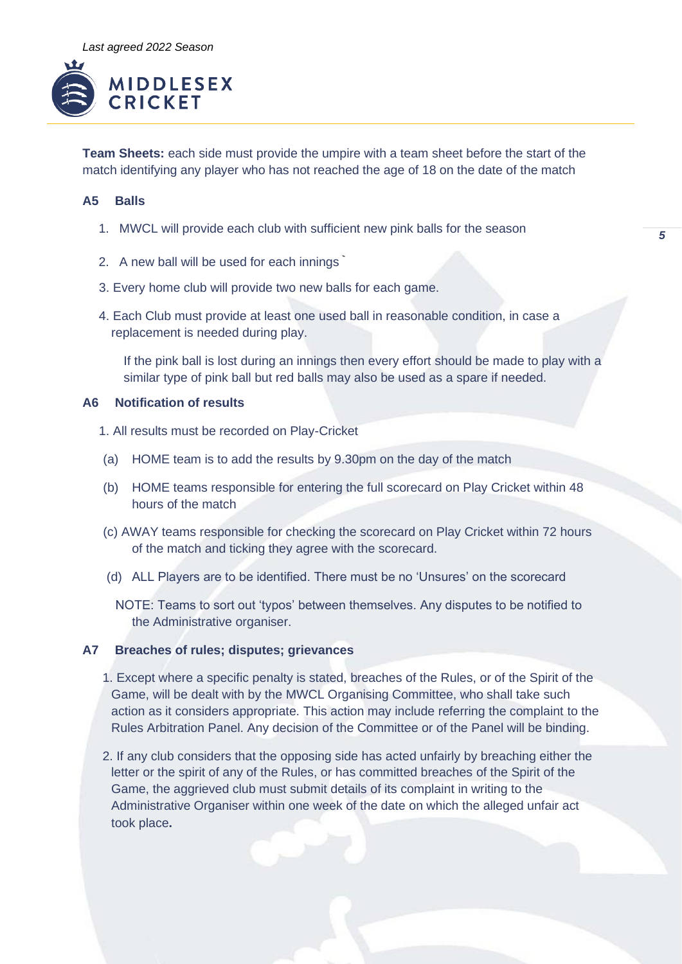

**Team Sheets:** each side must provide the umpire with a team sheet before the start of the match identifying any player who has not reached the age of 18 on the date of the match

### **A5 Balls**

- 1. MWCL will provide each club with sufficient new pink balls for the season
- 2. A new ball will be used for each innings
- 3. Every home club will provide two new balls for each game.
- 4. Each Club must provide at least one used ball in reasonable condition, in case a replacement is needed during play.

If the pink ball is lost during an innings then every effort should be made to play with a similar type of pink ball but red balls may also be used as a spare if needed.

### **A6 Notification of results**

- 1. All results must be recorded on Play-Cricket
- (a) HOME team is to add the results by 9.30pm on the day of the match
- (b) HOME teams responsible for entering the full scorecard on Play Cricket within 48 hours of the match
- (c) AWAY teams responsible for checking the scorecard on Play Cricket within 72 hours of the match and ticking they agree with the scorecard.
- (d) ALL Players are to be identified. There must be no 'Unsures' on the scorecard
	- NOTE: Teams to sort out 'typos' between themselves. Any disputes to be notified to the Administrative organiser.

#### **A7 Breaches of rules; disputes; grievances**

- 1. Except where a specific penalty is stated, breaches of the Rules, or of the Spirit of the Game, will be dealt with by the MWCL Organising Committee, who shall take such action as it considers appropriate. This action may include referring the complaint to the Rules Arbitration Panel. Any decision of the Committee or of the Panel will be binding.
- 2. If any club considers that the opposing side has acted unfairly by breaching either the letter or the spirit of any of the Rules, or has committed breaches of the Spirit of the Game, the aggrieved club must submit details of its complaint in writing to the Administrative Organiser within one week of the date on which the alleged unfair act took place**.**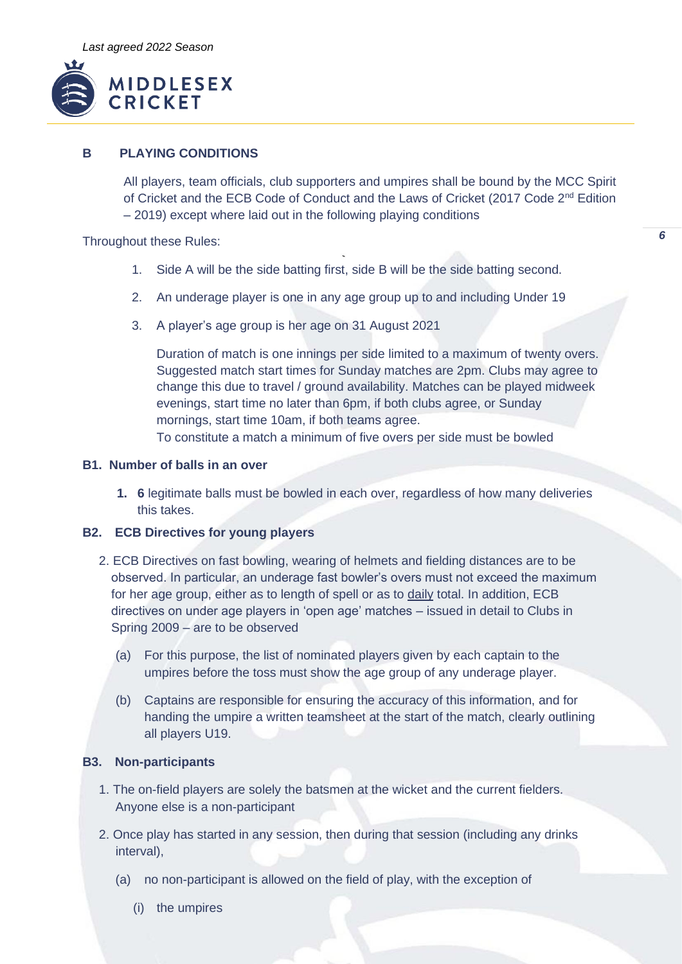

# **B PLAYING CONDITIONS**

All players, team officials, club supporters and umpires shall be bound by the MCC Spirit of Cricket and the ECB Code of Conduct and the Laws of Cricket (2017 Code 2<sup>nd</sup> Edition – 2019) except where laid out in the following playing conditions

*6*

Throughout these Rules:

- 1. Side A will be the side batting first, side B will be the side batting second.
- 2. An underage player is one in any age group up to and including Under 19
- 3. A player's age group is her age on 31 August 2021

Duration of match is one innings per side limited to a maximum of twenty overs. Suggested match start times for Sunday matches are 2pm. Clubs may agree to change this due to travel / ground availability. Matches can be played midweek evenings, start time no later than 6pm, if both clubs agree, or Sunday mornings, start time 10am, if both teams agree.

To constitute a match a minimum of five overs per side must be bowled

## **B1. Number of balls in an over**

**1. 6** legitimate balls must be bowled in each over, regardless of how many deliveries this takes.

# **B2. ECB Directives for young players**

- 2. ECB Directives on fast bowling, wearing of helmets and fielding distances are to be observed. In particular, an underage fast bowler's overs must not exceed the maximum for her age group, either as to length of spell or as to daily total. In addition, ECB directives on under age players in 'open age' matches – issued in detail to Clubs in Spring 2009 – are to be observed
	- (a) For this purpose, the list of nominated players given by each captain to the umpires before the toss must show the age group of any underage player.
	- (b) Captains are responsible for ensuring the accuracy of this information, and for handing the umpire a written teamsheet at the start of the match, clearly outlining all players U19.

# **B3. Non-participants**

- 1. The on-field players are solely the batsmen at the wicket and the current fielders. Anyone else is a non-participant
- 2. Once play has started in any session, then during that session (including any drinks interval),
	- (a) no non-participant is allowed on the field of play, with the exception of
		- (i) the umpires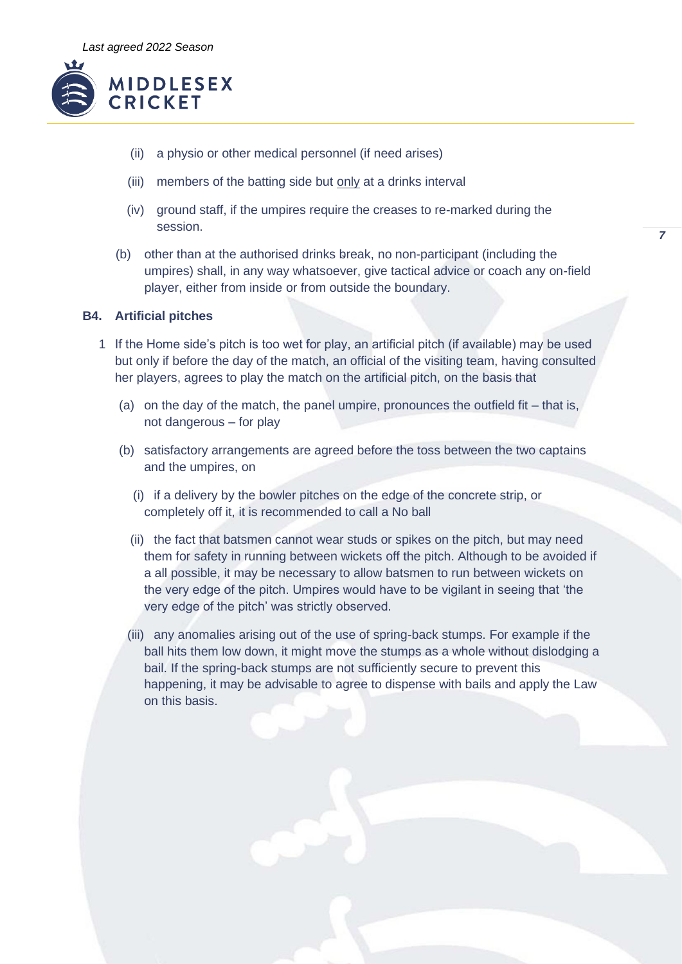

- (ii) a physio or other medical personnel (if need arises)
- (iii) members of the batting side but only at a drinks interval
- (iv) ground staff, if the umpires require the creases to re-marked during the session.
- (b) other than at the authorised drinks break, no non-participant (including the umpires) shall, in any way whatsoever, give tactical advice or coach any on-field player, either from inside or from outside the boundary.

*7*

# **B4. Artificial pitches**

- 1 If the Home side's pitch is too wet for play, an artificial pitch (if available) may be used but only if before the day of the match, an official of the visiting team, having consulted her players, agrees to play the match on the artificial pitch, on the basis that
	- (a) on the day of the match, the panel umpire, pronounces the outfield fit that is, not dangerous – for play
	- (b) satisfactory arrangements are agreed before the toss between the two captains and the umpires, on
		- (i) if a delivery by the bowler pitches on the edge of the concrete strip, or completely off it, it is recommended to call a No ball
		- (ii) the fact that batsmen cannot wear studs or spikes on the pitch, but may need them for safety in running between wickets off the pitch. Although to be avoided if a all possible, it may be necessary to allow batsmen to run between wickets on the very edge of the pitch. Umpires would have to be vigilant in seeing that 'the very edge of the pitch' was strictly observed.
		- (iii) any anomalies arising out of the use of spring-back stumps. For example if the ball hits them low down, it might move the stumps as a whole without dislodging a bail. If the spring-back stumps are not sufficiently secure to prevent this happening, it may be advisable to agree to dispense with bails and apply the Law on this basis.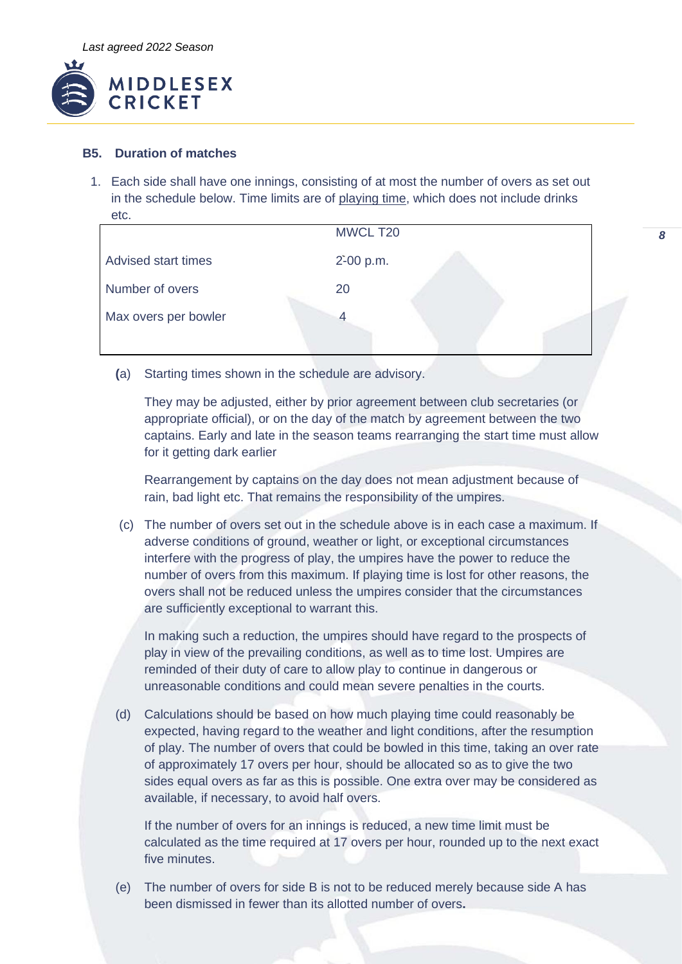

## **B5. Duration of matches**

1. Each side shall have one innings, consisting of at most the number of overs as set out in the schedule below. Time limits are of playing time, which does not include drinks etc.

|                            | MWCL T20  |  |
|----------------------------|-----------|--|
| <b>Advised start times</b> | 2-00 p.m. |  |
| Number of overs            | 20        |  |
| Max overs per bowler       |           |  |

*8*

**(**a) Starting times shown in the schedule are advisory.

They may be adjusted, either by prior agreement between club secretaries (or appropriate official), or on the day of the match by agreement between the two captains. Early and late in the season teams rearranging the start time must allow for it getting dark earlier

Rearrangement by captains on the day does not mean adjustment because of rain, bad light etc. That remains the responsibility of the umpires.

(c) The number of overs set out in the schedule above is in each case a maximum. If adverse conditions of ground, weather or light, or exceptional circumstances interfere with the progress of play, the umpires have the power to reduce the number of overs from this maximum. If playing time is lost for other reasons, the overs shall not be reduced unless the umpires consider that the circumstances are sufficiently exceptional to warrant this.

In making such a reduction, the umpires should have regard to the prospects of play in view of the prevailing conditions, as well as to time lost. Umpires are reminded of their duty of care to allow play to continue in dangerous or unreasonable conditions and could mean severe penalties in the courts.

(d) Calculations should be based on how much playing time could reasonably be expected, having regard to the weather and light conditions, after the resumption of play. The number of overs that could be bowled in this time, taking an over rate of approximately 17 overs per hour, should be allocated so as to give the two sides equal overs as far as this is possible. One extra over may be considered as available, if necessary, to avoid half overs.

If the number of overs for an innings is reduced, a new time limit must be calculated as the time required at 17 overs per hour, rounded up to the next exact five minutes.

(e) The number of overs for side B is not to be reduced merely because side A has been dismissed in fewer than its allotted number of overs**.**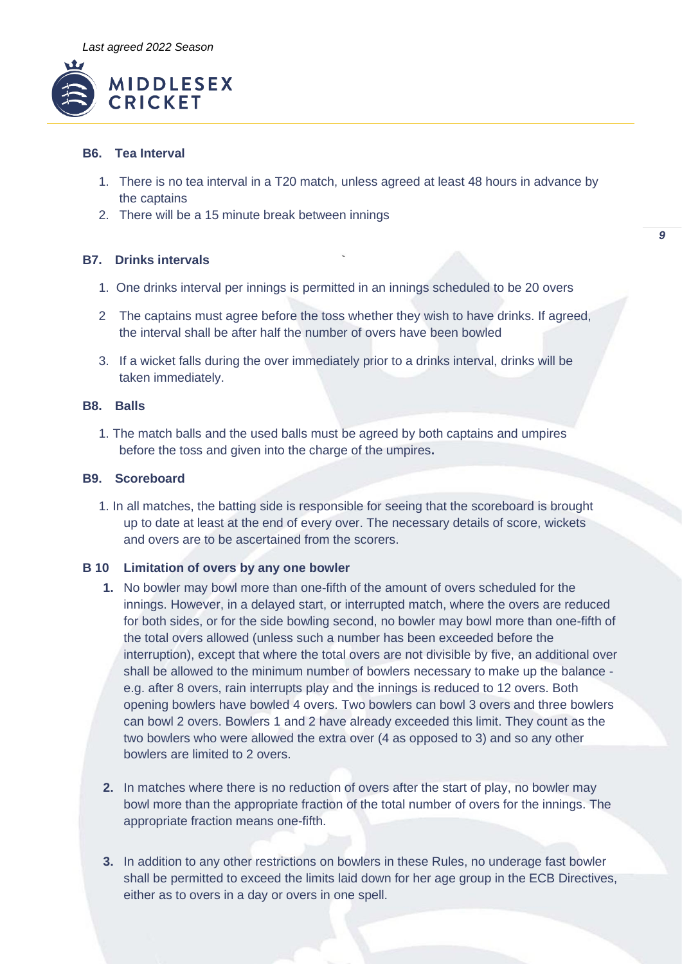

# **B6. Tea Interval**

- 1. There is no tea interval in a T20 match, unless agreed at least 48 hours in advance by the captains
- 2. There will be a 15 minute break between innings

## **B7. Drinks intervals**

- 1. One drinks interval per innings is permitted in an innings scheduled to be 20 overs
- 2 The captains must agree before the toss whether they wish to have drinks. If agreed, the interval shall be after half the number of overs have been bowled
- 3. If a wicket falls during the over immediately prior to a drinks interval, drinks will be taken immediately.

### **B8. Balls**

1. The match balls and the used balls must be agreed by both captains and umpires before the toss and given into the charge of the umpires**.**

### **B9. Scoreboard**

1. In all matches, the batting side is responsible for seeing that the scoreboard is brought up to date at least at the end of every over. The necessary details of score, wickets and overs are to be ascertained from the scorers.

### **B 10 Limitation of overs by any one bowler**

- **1.** No bowler may bowl more than one-fifth of the amount of overs scheduled for the innings. However, in a delayed start, or interrupted match, where the overs are reduced for both sides, or for the side bowling second, no bowler may bowl more than one-fifth of the total overs allowed (unless such a number has been exceeded before the interruption), except that where the total overs are not divisible by five, an additional over shall be allowed to the minimum number of bowlers necessary to make up the balance e.g. after 8 overs, rain interrupts play and the innings is reduced to 12 overs. Both opening bowlers have bowled 4 overs. Two bowlers can bowl 3 overs and three bowlers can bowl 2 overs. Bowlers 1 and 2 have already exceeded this limit. They count as the two bowlers who were allowed the extra over (4 as opposed to 3) and so any other bowlers are limited to 2 overs.
- **2.** In matches where there is no reduction of overs after the start of play, no bowler may bowl more than the appropriate fraction of the total number of overs for the innings. The appropriate fraction means one-fifth.
- **3.** In addition to any other restrictions on bowlers in these Rules, no underage fast bowler shall be permitted to exceed the limits laid down for her age group in the ECB Directives, either as to overs in a day or overs in one spell.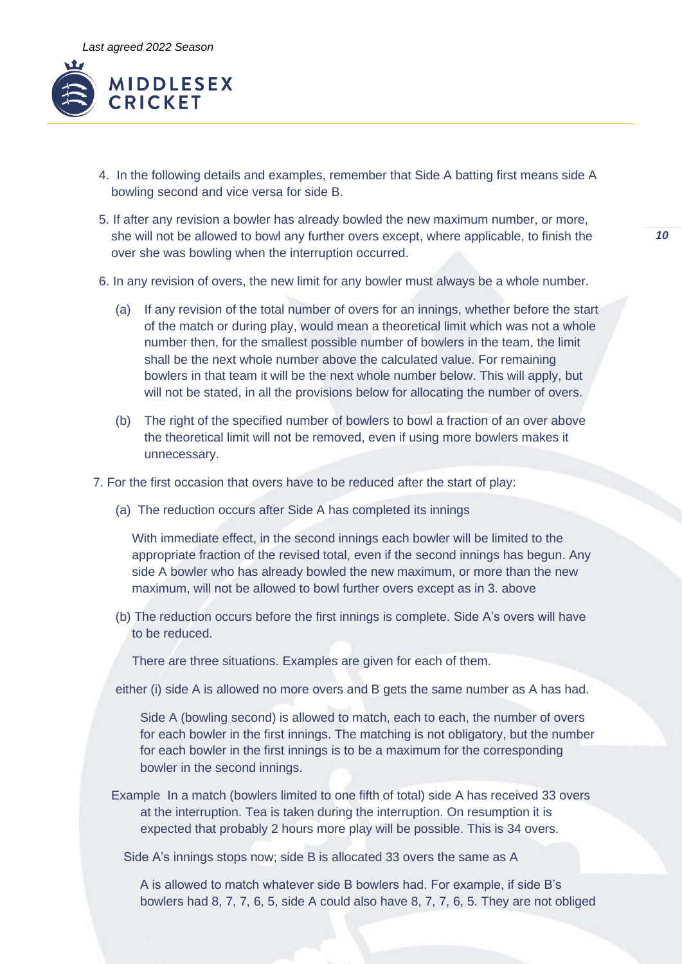

- 4. In the following details and examples, remember that Side A batting first means side A bowling second and vice versa for side B.
- 5. If after any revision a bowler has already bowled the new maximum number, or more, she will not be allowed to bowl any further overs except, where applicable, to finish the over she was bowling when the interruption occurred.
- 6. In any revision of overs, the new limit for any bowler must always be a whole number.
	- (a) If any revision of the total number of overs for an innings, whether before the start of the match or during play, would mean a theoretical limit which was not a whole number then, for the smallest possible number of bowlers in the team, the limit shall be the next whole number above the calculated value. For remaining bowlers in that team it will be the next whole number below. This will apply, but will not be stated, in all the provisions below for allocating the number of overs.
	- (b) The right of the specified number of bowlers to bowl a fraction of an over above the theoretical limit will not be removed, even if using more bowlers makes it unnecessary.
- 7. For the first occasion that overs have to be reduced after the start of play:
	- (a) The reduction occurs after Side A has completed its innings

With immediate effect, in the second innings each bowler will be limited to the appropriate fraction of the revised total, even if the second innings has begun. Any side A bowler who has already bowled the new maximum, or more than the new maximum, will not be allowed to bowl further overs except as in 3. above

(b) The reduction occurs before the first innings is complete. Side A's overs will have to be reduced.

There are three situations. Examples are given for each of them.

either (i) side A is allowed no more overs and B gets the same number as A has had.

Side A (bowling second) is allowed to match, each to each, the number of overs for each bowler in the first innings. The matching is not obligatory, but the number for each bowler in the first innings is to be a maximum for the corresponding bowler in the second innings.

Example In a match (bowlers limited to one fifth of total) side A has received 33 overs at the interruption. Tea is taken during the interruption. On resumption it is expected that probably 2 hours more play will be possible. This is 34 overs.

Side A's innings stops now; side B is allocated 33 overs the same as A

A is allowed to match whatever side B bowlers had. For example, if side B's bowlers had 8, 7, 7, 6, 5, side A could also have 8, 7, 7, 6, 5. They are not obliged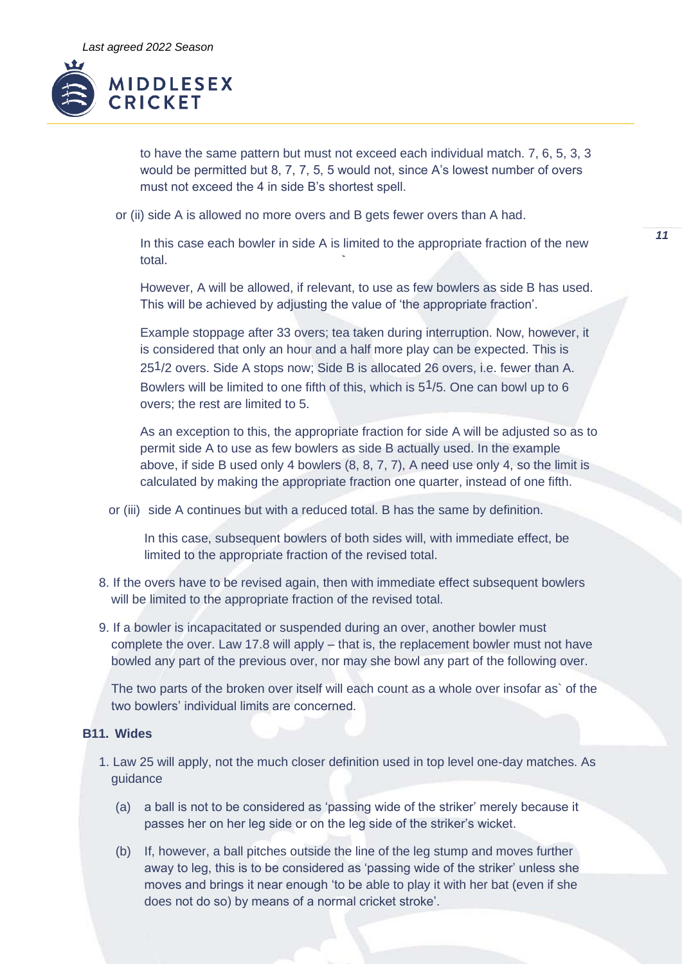

to have the same pattern but must not exceed each individual match. 7, 6, 5, 3, 3 would be permitted but 8, 7, 7, 5, 5 would not, since A's lowest number of overs must not exceed the 4 in side B's shortest spell.

or (ii) side A is allowed no more overs and B gets fewer overs than A had.

In this case each bowler in side A is limited to the appropriate fraction of the new total.

However, A will be allowed, if relevant, to use as few bowlers as side B has used. This will be achieved by adjusting the value of 'the appropriate fraction'.

Example stoppage after 33 overs; tea taken during interruption. Now, however, it is considered that only an hour and a half more play can be expected. This is 251/2 overs. Side A stops now; Side B is allocated 26 overs, i.e. fewer than A. Bowlers will be limited to one fifth of this, which is 51/5. One can bowl up to 6 overs; the rest are limited to 5.

As an exception to this, the appropriate fraction for side A will be adjusted so as to permit side A to use as few bowlers as side B actually used. In the example above, if side B used only 4 bowlers (8, 8, 7, 7), A need use only 4, so the limit is calculated by making the appropriate fraction one quarter, instead of one fifth.

or (iii) side A continues but with a reduced total. B has the same by definition.

In this case, subsequent bowlers of both sides will, with immediate effect, be limited to the appropriate fraction of the revised total.

- 8. If the overs have to be revised again, then with immediate effect subsequent bowlers will be limited to the appropriate fraction of the revised total.
- 9. If a bowler is incapacitated or suspended during an over, another bowler must complete the over. Law 17.8 will apply – that is, the replacement bowler must not have bowled any part of the previous over, nor may she bowl any part of the following over.

The two parts of the broken over itself will each count as a whole over insofar as` of the two bowlers' individual limits are concerned.

# **B11. Wides**

- 1. Law 25 will apply, not the much closer definition used in top level one-day matches. As guidance
	- (a) a ball is not to be considered as 'passing wide of the striker' merely because it passes her on her leg side or on the leg side of the striker's wicket.
	- (b) If, however, a ball pitches outside the line of the leg stump and moves further away to leg, this is to be considered as 'passing wide of the striker' unless she moves and brings it near enough 'to be able to play it with her bat (even if she does not do so) by means of a normal cricket stroke'.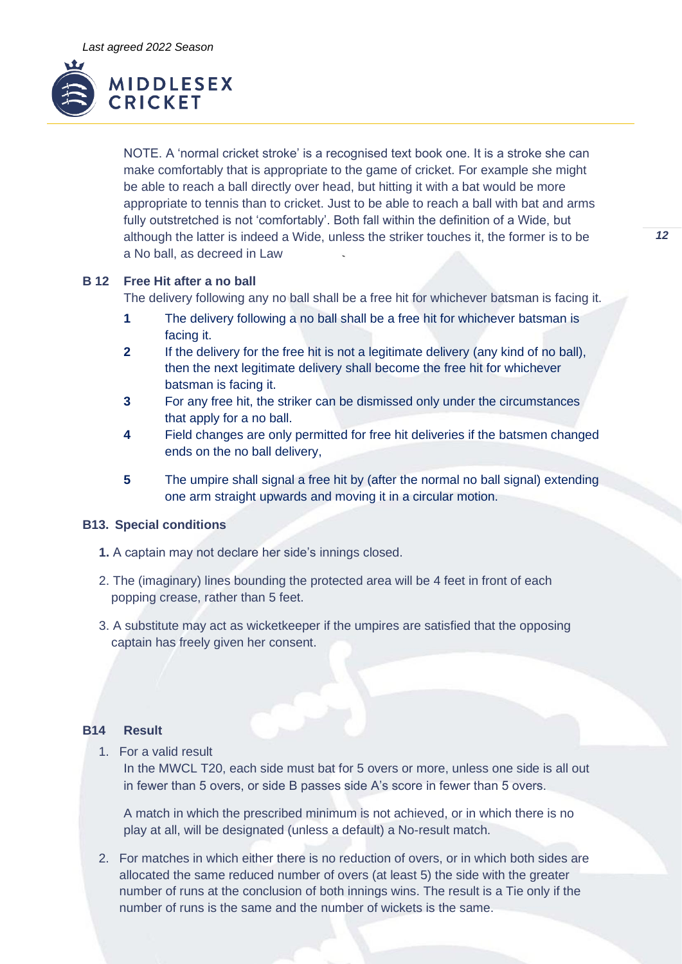

NOTE. A 'normal cricket stroke' is a recognised text book one. It is a stroke she can make comfortably that is appropriate to the game of cricket. For example she might be able to reach a ball directly over head, but hitting it with a bat would be more appropriate to tennis than to cricket. Just to be able to reach a ball with bat and arms fully outstretched is not 'comfortably'. Both fall within the definition of a Wide, but although the latter is indeed a Wide, unless the striker touches it, the former is to be a No ball, as decreed in Law

## **B 12 Free Hit after a no ball**

The delivery following any no ball shall be a free hit for whichever batsman is facing it.

- **1** The delivery following a no ball shall be a free hit for whichever batsman is facing it.
- **2** If the delivery for the free hit is not a legitimate delivery (any kind of no ball), then the next legitimate delivery shall become the free hit for whichever batsman is facing it.
- **3** For any free hit, the striker can be dismissed only under the circumstances that apply for a no ball.
- **4** Field changes are only permitted for free hit deliveries if the batsmen changed ends on the no ball delivery,
- **5** The umpire shall signal a free hit by (after the normal no ball signal) extending one arm straight upwards and moving it in a circular motion.

### **B13. Special conditions**

- **1.** A captain may not declare her side's innings closed.
- 2. The (imaginary) lines bounding the protected area will be 4 feet in front of each popping crease, rather than 5 feet.
- 3. A substitute may act as wicketkeeper if the umpires are satisfied that the opposing captain has freely given her consent.

### **B14 Result**

1. For a valid result

In the MWCL T20, each side must bat for 5 overs or more, unless one side is all out in fewer than 5 overs, or side B passes side A's score in fewer than 5 overs.

A match in which the prescribed minimum is not achieved, or in which there is no play at all, will be designated (unless a default) a No-result match.

2. For matches in which either there is no reduction of overs, or in which both sides are allocated the same reduced number of overs (at least 5) the side with the greater number of runs at the conclusion of both innings wins. The result is a Tie only if the number of runs is the same and the number of wickets is the same.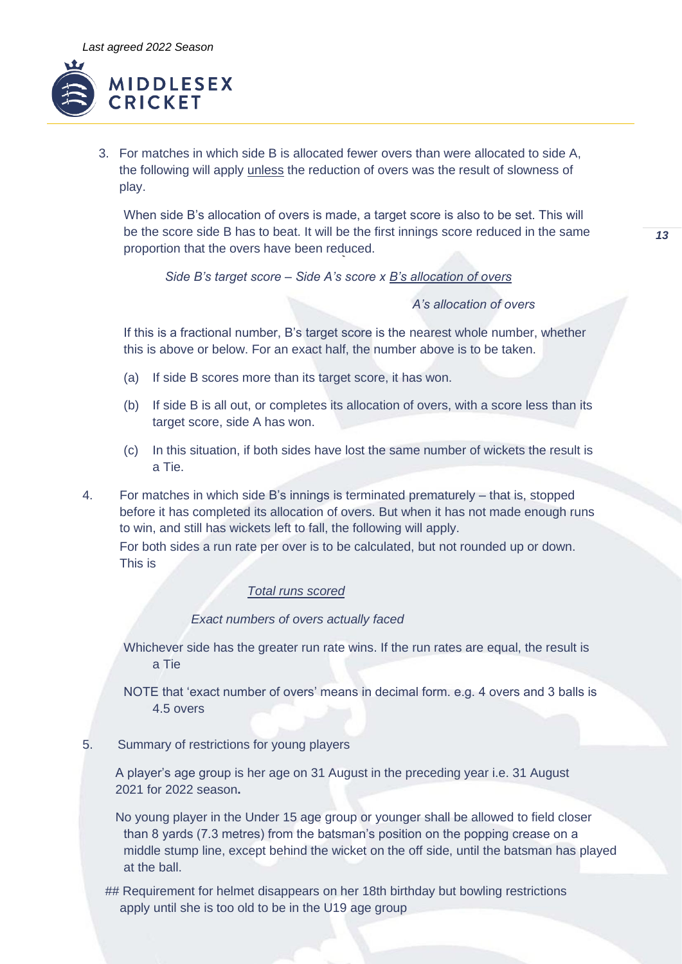

3. For matches in which side B is allocated fewer overs than were allocated to side A, the following will apply unless the reduction of overs was the result of slowness of play.

When side B's allocation of overs is made, a target score is also to be set. This will be the score side B has to beat. It will be the first innings score reduced in the same proportion that the overs have been reduced.

*Side B's target score – Side A's score x B's allocation of overs*

*A's allocation of overs*

If this is a fractional number, B's target score is the nearest whole number, whether this is above or below. For an exact half, the number above is to be taken.

- (a) If side B scores more than its target score, it has won.
- (b) If side B is all out, or completes its allocation of overs, with a score less than its target score, side A has won.
- (c) In this situation, if both sides have lost the same number of wickets the result is a Tie.

4. For matches in which side B's innings is terminated prematurely – that is, stopped before it has completed its allocation of overs. But when it has not made enough runs to win, and still has wickets left to fall, the following will apply. For both sides a run rate per over is to be calculated, but not rounded up or down. This is

### *Total runs scored*

## *Exact numbers of overs actually faced*

Whichever side has the greater run rate wins. If the run rates are equal, the result is a Tie

- NOTE that 'exact number of overs' means in decimal form. e.g. 4 overs and 3 balls is 4.5 overs
- 5. Summary of restrictions for young players

A player's age group is her age on 31 August in the preceding year i.e. 31 August 2021 for 2022 season**.**

No young player in the Under 15 age group or younger shall be allowed to field closer than 8 yards (7.3 metres) from the batsman's position on the popping crease on a middle stump line, except behind the wicket on the off side, until the batsman has played at the ball.

## Requirement for helmet disappears on her 18th birthday but bowling restrictions apply until she is too old to be in the U19 age group

*13*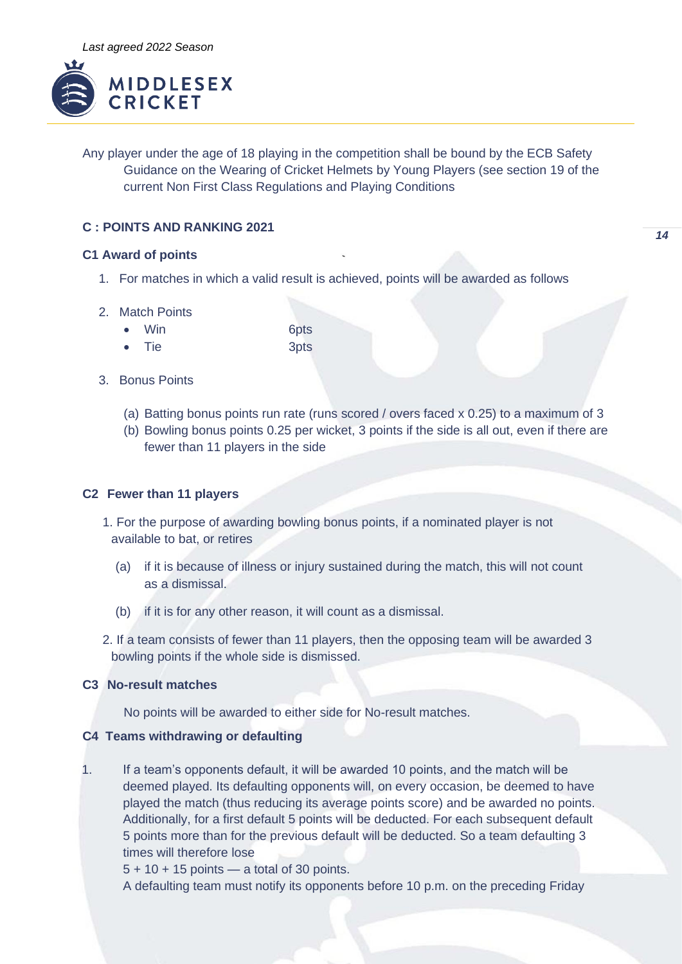

Any player under the age of 18 playing in the competition shall be bound by the ECB Safety Guidance on the Wearing of Cricket Helmets by Young Players (see section 19 of the current Non First Class Regulations and Playing Conditions

# **C : POINTS AND RANKING 2021**

## **C1 Award of points**

- 1. For matches in which a valid result is achieved, points will be awarded as follows
- 2. Match Points
	- Win 6pts
	- Tie 3pts
- 3. Bonus Points
	- (a) Batting bonus points run rate (runs scored / overs faced x 0.25) to a maximum of 3
	- (b) Bowling bonus points 0.25 per wicket, 3 points if the side is all out, even if there are fewer than 11 players in the side

# **C2 Fewer than 11 players**

- 1. For the purpose of awarding bowling bonus points, if a nominated player is not available to bat, or retires
	- (a) if it is because of illness or injury sustained during the match, this will not count as a dismissal.
	- (b) if it is for any other reason, it will count as a dismissal.
- 2. If a team consists of fewer than 11 players, then the opposing team will be awarded 3 bowling points if the whole side is dismissed.

# **C3 No-result matches**

No points will be awarded to either side for No-result matches.

# **C4 Teams withdrawing or defaulting**

1. If a team's opponents default, it will be awarded 10 points, and the match will be deemed played. Its defaulting opponents will, on every occasion, be deemed to have played the match (thus reducing its average points score) and be awarded no points. Additionally, for a first default 5 points will be deducted. For each subsequent default 5 points more than for the previous default will be deducted. So a team defaulting 3 times will therefore lose

 $5 + 10 + 15$  points — a total of 30 points.

A defaulting team must notify its opponents before 10 p.m. on the preceding Friday